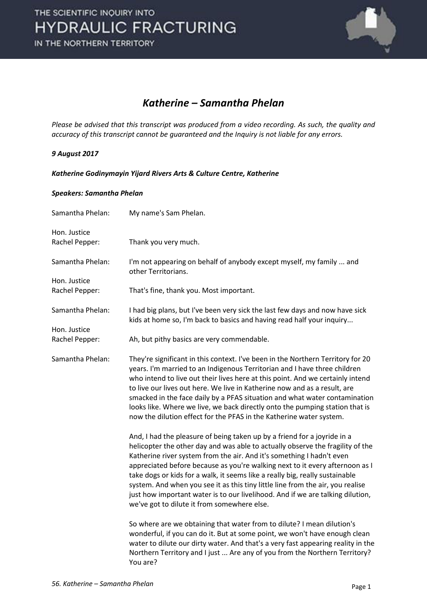

### *Katherine – Samantha Phelan*

*Please be advised that this transcript was produced from a video recording. As such, the quality and accuracy of this transcript cannot be guaranteed and the Inquiry is not liable for any errors.* 

#### *9 August 2017*

*Katherine Godinymayin Yijard Rivers Arts & Culture Centre, Katherine* 

#### *Speakers: Samantha Phelan*

| Samantha Phelan:               | My name's Sam Phelan.                                                                                                                                                                                                                                                                                                                                                                                                                                                                                                                                                                                                  |
|--------------------------------|------------------------------------------------------------------------------------------------------------------------------------------------------------------------------------------------------------------------------------------------------------------------------------------------------------------------------------------------------------------------------------------------------------------------------------------------------------------------------------------------------------------------------------------------------------------------------------------------------------------------|
| Hon. Justice<br>Rachel Pepper: | Thank you very much.                                                                                                                                                                                                                                                                                                                                                                                                                                                                                                                                                                                                   |
| Samantha Phelan:               | I'm not appearing on behalf of anybody except myself, my family  and<br>other Territorians.                                                                                                                                                                                                                                                                                                                                                                                                                                                                                                                            |
| Hon. Justice<br>Rachel Pepper: | That's fine, thank you. Most important.                                                                                                                                                                                                                                                                                                                                                                                                                                                                                                                                                                                |
| Samantha Phelan:               | I had big plans, but I've been very sick the last few days and now have sick<br>kids at home so, I'm back to basics and having read half your inquiry                                                                                                                                                                                                                                                                                                                                                                                                                                                                  |
| Hon. Justice<br>Rachel Pepper: | Ah, but pithy basics are very commendable.                                                                                                                                                                                                                                                                                                                                                                                                                                                                                                                                                                             |
| Samantha Phelan:               | They're significant in this context. I've been in the Northern Territory for 20<br>years. I'm married to an Indigenous Territorian and I have three children<br>who intend to live out their lives here at this point. And we certainly intend<br>to live our lives out here. We live in Katherine now and as a result, are<br>smacked in the face daily by a PFAS situation and what water contamination<br>looks like. Where we live, we back directly onto the pumping station that is<br>now the dilution effect for the PFAS in the Katherine water system.                                                       |
|                                | And, I had the pleasure of being taken up by a friend for a joyride in a<br>helicopter the other day and was able to actually observe the fragility of the<br>Katherine river system from the air. And it's something I hadn't even<br>appreciated before because as you're walking next to it every afternoon as I<br>take dogs or kids for a walk, it seems like a really big, really sustainable<br>system. And when you see it as this tiny little line from the air, you realise<br>just how important water is to our livelihood. And if we are talking dilution,<br>we've got to dilute it from somewhere else. |
|                                | So where are we obtaining that water from to dilute? I mean dilution's<br>wonderful, if you can do it. But at some point, we won't have enough clean<br>water to dilute our dirty water. And that's a very fast appearing reality in the<br>Northern Territory and I just  Are any of you from the Northern Territory?<br>You are?                                                                                                                                                                                                                                                                                     |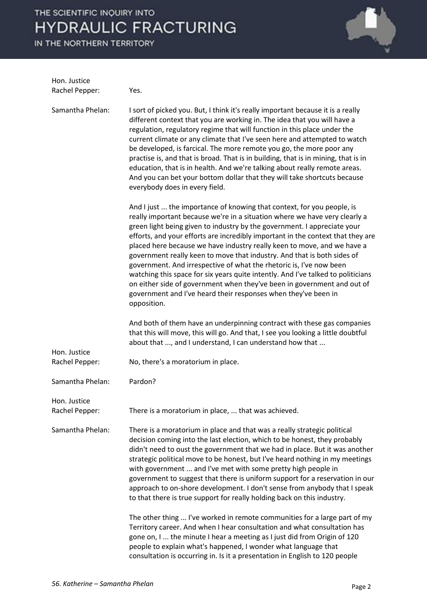IN THE NORTHERN TERRITORY



| Hon. Justice<br>Rachel Pepper: | Yes.                                                                                                                                                                                                                                                                                                                                                                                                                                                                                                                                                                                                                                                                                                                                                                                             |
|--------------------------------|--------------------------------------------------------------------------------------------------------------------------------------------------------------------------------------------------------------------------------------------------------------------------------------------------------------------------------------------------------------------------------------------------------------------------------------------------------------------------------------------------------------------------------------------------------------------------------------------------------------------------------------------------------------------------------------------------------------------------------------------------------------------------------------------------|
| Samantha Phelan:               | I sort of picked you. But, I think it's really important because it is a really<br>different context that you are working in. The idea that you will have a<br>regulation, regulatory regime that will function in this place under the<br>current climate or any climate that I've seen here and attempted to watch<br>be developed, is farcical. The more remote you go, the more poor any<br>practise is, and that is broad. That is in building, that is in mining, that is in<br>education, that is in health. And we're talking about really remote areas.<br>And you can bet your bottom dollar that they will take shortcuts because<br>everybody does in every field.                                                                                                                   |
|                                | And I just  the importance of knowing that context, for you people, is<br>really important because we're in a situation where we have very clearly a<br>green light being given to industry by the government. I appreciate your<br>efforts, and your efforts are incredibly important in the context that they are<br>placed here because we have industry really keen to move, and we have a<br>government really keen to move that industry. And that is both sides of<br>government. And irrespective of what the rhetoric is, I've now been<br>watching this space for six years quite intently. And I've talked to politicians<br>on either side of government when they've been in government and out of<br>government and I've heard their responses when they've been in<br>opposition. |
|                                | And both of them have an underpinning contract with these gas companies<br>that this will move, this will go. And that, I see you looking a little doubtful<br>about that , and I understand, I can understand how that                                                                                                                                                                                                                                                                                                                                                                                                                                                                                                                                                                          |
| Hon. Justice<br>Rachel Pepper: | No, there's a moratorium in place.                                                                                                                                                                                                                                                                                                                                                                                                                                                                                                                                                                                                                                                                                                                                                               |
| Samantha Phelan:               | Pardon?                                                                                                                                                                                                                                                                                                                                                                                                                                                                                                                                                                                                                                                                                                                                                                                          |
| Hon. Justice<br>Rachel Pepper: | There is a moratorium in place,  that was achieved.                                                                                                                                                                                                                                                                                                                                                                                                                                                                                                                                                                                                                                                                                                                                              |
| Samantha Phelan:               | There is a moratorium in place and that was a really strategic political<br>decision coming into the last election, which to be honest, they probably<br>didn't need to oust the government that we had in place. But it was another<br>strategic political move to be honest, but I've heard nothing in my meetings<br>with government  and I've met with some pretty high people in<br>government to suggest that there is uniform support for a reservation in our<br>approach to on-shore development. I don't sense from anybody that I speak<br>to that there is true support for really holding back on this industry.                                                                                                                                                                    |
|                                | The other thing  I've worked in remote communities for a large part of my<br>Territory career. And when I hear consultation and what consultation has<br>gone on, I  the minute I hear a meeting as I just did from Origin of 120<br>people to explain what's happened, I wonder what language that<br>consultation is occurring in. Is it a presentation in English to 120 people                                                                                                                                                                                                                                                                                                                                                                                                               |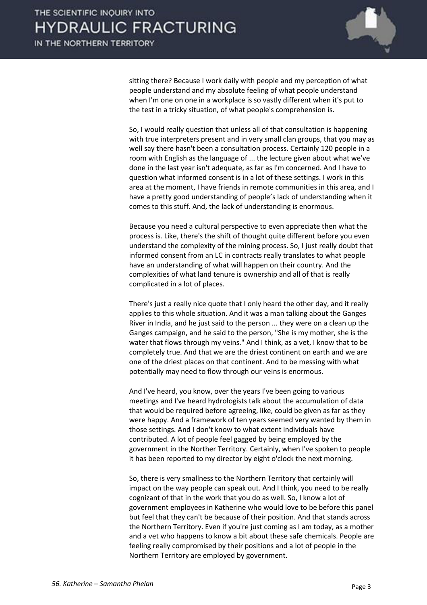

sitting there? Because I work daily with people and my perception of what people understand and my absolute feeling of what people understand when I'm one on one in a workplace is so vastly different when it's put to the test in a tricky situation, of what people's comprehension is.

 So, I would really question that unless all of that consultation is happening with true interpreters present and in very small clan groups, that you may as well say there hasn't been a consultation process. Certainly 120 people in a room with English as the language of ... the lecture given about what we've done in the last year isn't adequate, as far as I'm concerned. And I have to question what informed consent is in a lot of these settings. I work in this area at the moment, I have friends in remote communities in this area, and I have a pretty good understanding of people's lack of understanding when it comes to this stuff. And, the lack of understanding is enormous.

 Because you need a cultural perspective to even appreciate then what the process is. Like, there's the shift of thought quite different before you even understand the complexity of the mining process. So, I just really doubt that informed consent from an LC in contracts really translates to what people have an understanding of what will happen on their country. And the complexities of what land tenure is ownership and all of that is really complicated in a lot of places.

 There's just a really nice quote that I only heard the other day, and it really applies to this whole situation. And it was a man talking about the Ganges River in India, and he just said to the person ... they were on a clean up the Ganges campaign, and he said to the person, "She is my mother, she is the water that flows through my veins." And I think, as a vet, I know that to be completely true. And that we are the driest continent on earth and we are one of the driest places on that continent. And to be messing with what potentially may need to flow through our veins is enormous.

 And I've heard, you know, over the years I've been going to various meetings and I've heard hydrologists talk about the accumulation of data that would be required before agreeing, like, could be given as far as they were happy. And a framework of ten years seemed very wanted by them in those settings. And I don't know to what extent individuals have contributed. A lot of people feel gagged by being employed by the government in the Norther Territory. Certainly, when I've spoken to people it has been reported to my director by eight o'clock the next morning.

 So, there is very smallness to the Northern Territory that certainly will impact on the way people can speak out. And I think, you need to be really cognizant of that in the work that you do as well. So, I know a lot of government employees in Katherine who would love to be before this panel but feel that they can't be because of their position. And that stands across the Northern Territory. Even if you're just coming as I am today, as a mother and a vet who happens to know a bit about these safe chemicals. People are feeling really compromised by their positions and a lot of people in the Northern Territory are employed by government.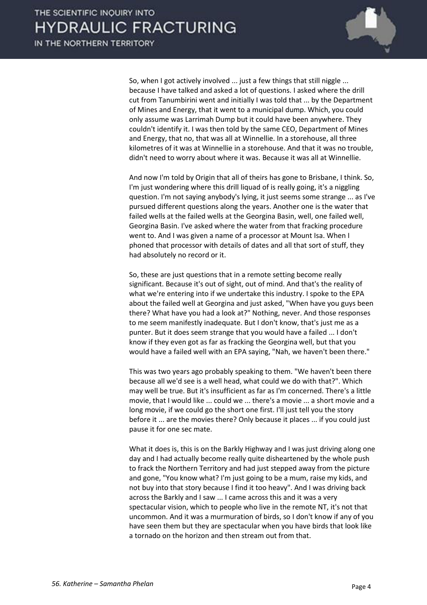

 So, when I got actively involved ... just a few things that still niggle ... because I have talked and asked a lot of questions. I asked where the drill cut from Tanumbirini went and initially I was told that ... by the Department of Mines and Energy, that it went to a municipal dump. Which, you could only assume was Larrimah Dump but it could have been anywhere. They couldn't identify it. I was then told by the same CEO, Department of Mines and Energy, that no, that was all at Winnellie. In a storehouse, all three kilometres of it was at Winnellie in a storehouse. And that it was no trouble, didn't need to worry about where it was. Because it was all at Winnellie.

 And now I'm told by Origin that all of theirs has gone to Brisbane, I think. So, I'm just wondering where this drill liquad of is really going, it's a niggling question. I'm not saying anybody's lying, it just seems some strange ... as I've pursued different questions along the years. Another one is the water that failed wells at the failed wells at the Georgina Basin, well, one failed well, Georgina Basin. I've asked where the water from that fracking procedure went to. And I was given a name of a processor at Mount Isa. When I phoned that processor with details of dates and all that sort of stuff, they had absolutely no record or it.

 So, these are just questions that in a remote setting become really significant. Because it's out of sight, out of mind. And that's the reality of what we're entering into if we undertake this industry. I spoke to the EPA about the failed well at Georgina and just asked, "When have you guys been there? What have you had a look at?" Nothing, never. And those responses to me seem manifestly inadequate. But I don't know, that's just me as a punter. But it does seem strange that you would have a failed ... I don't know if they even got as far as fracking the Georgina well, but that you would have a failed well with an EPA saying, "Nah, we haven't been there."

 This was two years ago probably speaking to them. "We haven't been there because all we'd see is a well head, what could we do with that?". Which may well be true. But it's insufficient as far as I'm concerned. There's a little movie, that I would like ... could we ... there's a movie ... a short movie and a long movie, if we could go the short one first. I'll just tell you the story before it ... are the movies there? Only because it places ... if you could just pause it for one sec mate.

 What it does is, this is on the Barkly Highway and I was just driving along one day and I had actually become really quite disheartened by the whole push to frack the Northern Territory and had just stepped away from the picture and gone, "You know what? I'm just going to be a mum, raise my kids, and not buy into that story because I find it too heavy". And I was driving back across the Barkly and I saw ... I came across this and it was a very spectacular vision, which to people who live in the remote NT, it's not that uncommon. And it was a murmuration of birds, so I don't know if any of you have seen them but they are spectacular when you have birds that look like a tornado on the horizon and then stream out from that.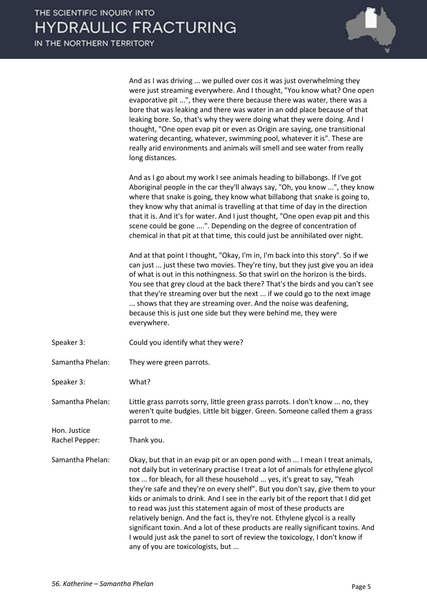

 And as I was driving ... we pulled over cos it was just overwhelming they were just streaming everywhere. And I thought, "You know what? One open evaporative pit ...", they were there because there was water, there was a bore that was leaking and there was water in an odd place because of that leaking bore. So, that's why they were doing what they were doing. And I thought, "One open evap pit or even as Origin are saying, one transitional watering decanting, whatever, swimming pool, whatever it is". These are really arid environments and animals will smell and see water from really long distances.

 And as I go about my work I see animals heading to billabongs. If I've got Aboriginal people in the car they'll always say, "Oh, you know ...", they know where that snake is going, they know what billabong that snake is going to, they know why that animal is travelling at that time of day in the direction that it is. And it's for water. And I just thought, "One open evap pit and this scene could be gone ....". Depending on the degree of concentration of chemical in that pit at that time, this could just be annihilated over night.

 And at that point I thought, "Okay, I'm in, I'm back into this story". So if we can just ... just these two movies. They're tiny, but they just give you an idea of what is out in this nothingness. So that swirl on the horizon is the birds. You see that grey cloud at the back there? That's the birds and you can't see that they're streaming over but the next ... if we could go to the next image ... shows that they are streaming over. And the noise was deafening, because this is just one side but they were behind me, they were everywhere.

- Speaker 3: Could you identify what they were?
- Samantha Phelan: They were green parrots.
- Speaker 3: What?

Samantha Phelan: Little grass parrots sorry, little green grass parrots. I don't know ... no, they weren't quite budgies. Little bit bigger. Green. Someone called them a grass parrot to me.

Rachel Pepper: Thank you.

Hon. Justice

Samantha Phelan: Okay, but that in an evap pit or an open pond with ... I mean I treat animals, not daily but in veterinary practise I treat a lot of animals for ethylene glycol tox ... for bleach, for all these household ... yes, it's great to say, "Yeah they're safe and they're on every shelf". But you don't say, give them to your kids or animals to drink. And I see in the early bit of the report that I did get to read was just this statement again of most of these products are relatively benign. And the fact is, they're not. Ethylene glycol is a really significant toxin. And a lot of these products are really significant toxins. And I would just ask the panel to sort of review the toxicology, I don't know if any of you are toxicologists, but ...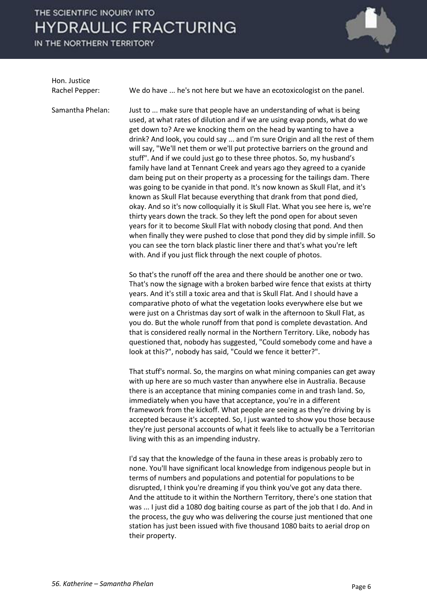IN THE NORTHERN TERRITORY



Hon. Justice

Rachel Pepper: We do have ... he's not here but we have an ecotoxicologist on the panel.

Samantha Phelan: Just to ... make sure that people have an understanding of what is being used, at what rates of dilution and if we are using evap ponds, what do we get down to? Are we knocking them on the head by wanting to have a drink? And look, you could say ... and I'm sure Origin and all the rest of them will say, "We'll net them or we'll put protective barriers on the ground and stuff". And if we could just go to these three photos. So, my husband's family have land at Tennant Creek and years ago they agreed to a cyanide dam being put on their property as a processing for the tailings dam. There was going to be cyanide in that pond. It's now known as Skull Flat, and it's known as Skull Flat because everything that drank from that pond died, okay. And so it's now colloquially it is Skull Flat. What you see here is, we're thirty years down the track. So they left the pond open for about seven years for it to become Skull Flat with nobody closing that pond. And then when finally they were pushed to close that pond they did by simple infill. So you can see the torn black plastic liner there and that's what you're left with. And if you just flick through the next couple of photos.

> So that's the runoff off the area and there should be another one or two. That's now the signage with a broken barbed wire fence that exists at thirty years. And it's still a toxic area and that is Skull Flat. And I should have a comparative photo of what the vegetation looks everywhere else but we were just on a Christmas day sort of walk in the afternoon to Skull Flat, as you do. But the whole runoff from that pond is complete devastation. And that is considered really normal in the Northern Territory. Like, nobody has questioned that, nobody has suggested, "Could somebody come and have a look at this?", nobody has said, "Could we fence it better?".

 That stuff's normal. So, the margins on what mining companies can get away with up here are so much vaster than anywhere else in Australia. Because there is an acceptance that mining companies come in and trash land. So, immediately when you have that acceptance, you're in a different framework from the kickoff. What people are seeing as they're driving by is accepted because it's accepted. So, I just wanted to show you those because they're just personal accounts of what it feels like to actually be a Territorian living with this as an impending industry.

 I'd say that the knowledge of the fauna in these areas is probably zero to none. You'll have significant local knowledge from indigenous people but in terms of numbers and populations and potential for populations to be disrupted, I think you're dreaming if you think you've got any data there. And the attitude to it within the Northern Territory, there's one station that was ... I just did a 1080 dog baiting course as part of the job that I do. And in the process, the guy who was delivering the course just mentioned that one station has just been issued with five thousand 1080 baits to aerial drop on their property.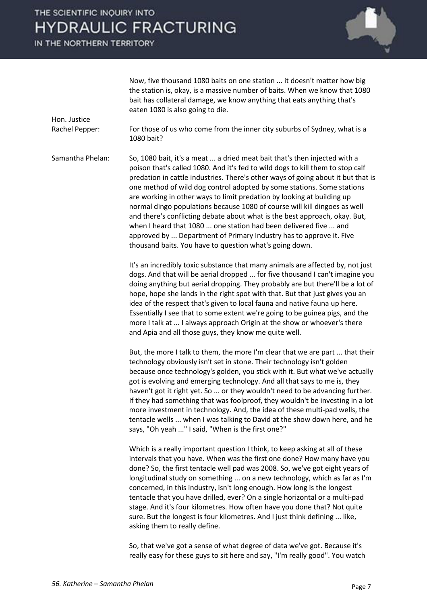IN THE NORTHERN TERRITORY

Hon. Justice



 Now, five thousand 1080 baits on one station ... it doesn't matter how big the station is, okay, is a massive number of baits. When we know that 1080 bait has collateral damage, we know anything that eats anything that's eaten 1080 is also going to die.

Rachel Pepper: For those of us who come from the inner city suburbs of Sydney, what is a 1080 bait?

Samantha Phelan: So, 1080 bait, it's a meat ... a dried meat bait that's then injected with a poison that's called 1080. And it's fed to wild dogs to kill them to stop calf predation in cattle industries. There's other ways of going about it but that is one method of wild dog control adopted by some stations. Some stations are working in other ways to limit predation by looking at building up normal dingo populations because 1080 of course will kill dingoes as well and there's conflicting debate about what is the best approach, okay. But, when I heard that 1080 ... one station had been delivered five ... and approved by ... Department of Primary Industry has to approve it. Five thousand baits. You have to question what's going down.

> It's an incredibly toxic substance that many animals are affected by, not just dogs. And that will be aerial dropped ... for five thousand I can't imagine you doing anything but aerial dropping. They probably are but there'll be a lot of hope, hope she lands in the right spot with that. But that just gives you an idea of the respect that's given to local fauna and native fauna up here. Essentially I see that to some extent we're going to be guinea pigs, and the more I talk at ... I always approach Origin at the show or whoever's there and Apia and all those guys, they know me quite well.

> But, the more I talk to them, the more I'm clear that we are part ... that their technology obviously isn't set in stone. Their technology isn't golden because once technology's golden, you stick with it. But what we've actually got is evolving and emerging technology. And all that says to me is, they haven't got it right yet. So ... or they wouldn't need to be advancing further. If they had something that was foolproof, they wouldn't be investing in a lot more investment in technology. And, the idea of these multi-pad wells, the tentacle wells ... when I was talking to David at the show down here, and he says, "Oh yeah ..." I said, "When is the first one?"

 Which is a really important question I think, to keep asking at all of these intervals that you have. When was the first one done? How many have you done? So, the first tentacle well pad was 2008. So, we've got eight years of longitudinal study on something ... on a new technology, which as far as I'm concerned, in this industry, isn't long enough. How long is the longest tentacle that you have drilled, ever? On a single horizontal or a multi-pad stage. And it's four kilometres. How often have you done that? Not quite sure. But the longest is four kilometres. And I just think defining ... like, asking them to really define.

So, that we've got a sense of what degree of data we've got. Because it's really easy for these guys to sit here and say, "I'm really good". You watch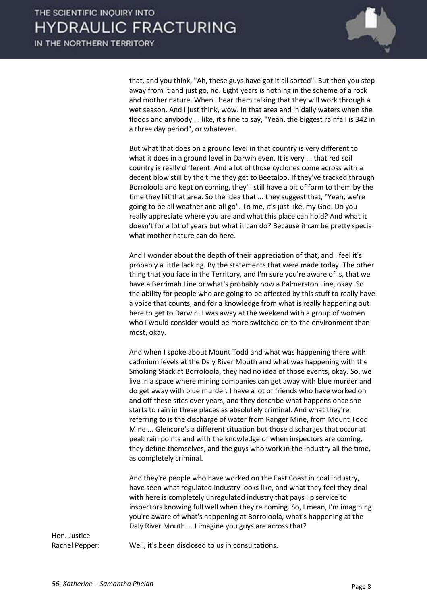

that, and you think, "Ah, these guys have got it all sorted". But then you step away from it and just go, no. Eight years is nothing in the scheme of a rock and mother nature. When I hear them talking that they will work through a wet season. And I just think, wow. In that area and in daily waters when she floods and anybody ... like, it's fine to say, "Yeah, the biggest rainfall is 342 in a three day period", or whatever.

 But what that does on a ground level in that country is very different to what it does in a ground level in Darwin even. It is very ... that red soil country is really different. And a lot of those cyclones come across with a decent blow still by the time they get to Beetaloo. If they've tracked through Borroloola and kept on coming, they'll still have a bit of form to them by the time they hit that area. So the idea that ... they suggest that, "Yeah, we're going to be all weather and all go". To me, it's just like, my God. Do you really appreciate where you are and what this place can hold? And what it doesn't for a lot of years but what it can do? Because it can be pretty special what mother nature can do here.

 And I wonder about the depth of their appreciation of that, and I feel it's probably a little lacking. By the statements that were made today. The other thing that you face in the Territory, and I'm sure you're aware of is, that we have a Berrimah Line or what's probably now a Palmerston Line, okay. So the ability for people who are going to be affected by this stuff to really have a voice that counts, and for a knowledge from what is really happening out here to get to Darwin. I was away at the weekend with a group of women who I would consider would be more switched on to the environment than most, okay.

 And when I spoke about Mount Todd and what was happening there with cadmium levels at the Daly River Mouth and what was happening with the Smoking Stack at Borroloola, they had no idea of those events, okay. So, we live in a space where mining companies can get away with blue murder and do get away with blue murder. I have a lot of friends who have worked on and off these sites over years, and they describe what happens once she starts to rain in these places as absolutely criminal. And what they're referring to is the discharge of water from Ranger Mine, from Mount Todd Mine ... Glencore's a different situation but those discharges that occur at peak rain points and with the knowledge of when inspectors are coming, they define themselves, and the guys who work in the industry all the time, as completely criminal.

 And they're people who have worked on the East Coast in coal industry, have seen what regulated industry looks like, and what they feel they deal with here is completely unregulated industry that pays lip service to inspectors knowing full well when they're coming. So, I mean, I'm imagining you're aware of what's happening at Borroloola, what's happening at the Daly River Mouth ... I imagine you guys are across that?

Hon. Justice

Rachel Pepper: Well, it's been disclosed to us in consultations.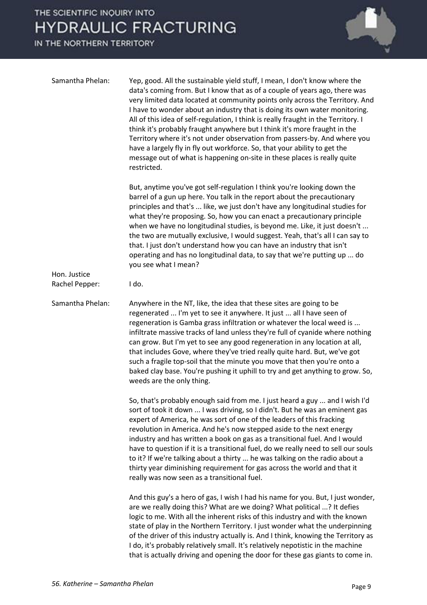IN THE NORTHERN TERRITORY



| Samantha Phelan: | Yep, good. All the sustainable yield stuff, I mean, I don't know where the<br>data's coming from. But I know that as of a couple of years ago, there was<br>very limited data located at community points only across the Territory. And<br>I have to wonder about an industry that is doing its own water monitoring.<br>All of this idea of self-regulation, I think is really fraught in the Territory. I<br>think it's probably fraught anywhere but I think it's more fraught in the<br>Territory where it's not under observation from passers-by. And where you<br>have a largely fly in fly out workforce. So, that your ability to get the<br>message out of what is happening on-site in these places is really quite<br>restricted. |
|------------------|------------------------------------------------------------------------------------------------------------------------------------------------------------------------------------------------------------------------------------------------------------------------------------------------------------------------------------------------------------------------------------------------------------------------------------------------------------------------------------------------------------------------------------------------------------------------------------------------------------------------------------------------------------------------------------------------------------------------------------------------|
| Hon. Justice     | But, anytime you've got self-regulation I think you're looking down the<br>barrel of a gun up here. You talk in the report about the precautionary<br>principles and that's  like, we just don't have any longitudinal studies for<br>what they're proposing. So, how you can enact a precautionary principle<br>when we have no longitudinal studies, is beyond me. Like, it just doesn't<br>the two are mutually exclusive, I would suggest. Yeah, that's all I can say to<br>that. I just don't understand how you can have an industry that isn't<br>operating and has no longitudinal data, to say that we're putting up  do<br>you see what I mean?                                                                                      |
| Rachel Pepper:   | I do.                                                                                                                                                                                                                                                                                                                                                                                                                                                                                                                                                                                                                                                                                                                                          |
| Samantha Phelan: | Anywhere in the NT, like, the idea that these sites are going to be<br>regenerated  I'm yet to see it anywhere. It just  all I have seen of<br>regeneration is Gamba grass infiltration or whatever the local weed is<br>infiltrate massive tracks of land unless they're full of cyanide where nothing<br>can grow. But I'm yet to see any good regeneration in any location at all,<br>that includes Gove, where they've tried really quite hard. But, we've got<br>such a fragile top-soil that the minute you move that then you're onto a<br>baked clay base. You're pushing it uphill to try and get anything to grow. So,<br>weeds are the only thing.                                                                                  |
|                  | So, that's probably enough said from me. I just heard a guy  and I wish I'd<br>sort of took it down  I was driving, so I didn't. But he was an eminent gas<br>expert of America, he was sort of one of the leaders of this fracking<br>revolution in America. And he's now stepped aside to the next energy<br>industry and has written a book on gas as a transitional fuel. And I would<br>have to question if it is a transitional fuel, do we really need to sell our souls<br>to it? If we're talking about a thirty  he was talking on the radio about a<br>thirty year diminishing requirement for gas across the world and that it<br>really was now seen as a transitional fuel.                                                      |
|                  | And this guy's a hero of gas, I wish I had his name for you. But, I just wonder,<br>are we really doing this? What are we doing? What political ? It defies<br>logic to me. With all the inherent risks of this industry and with the known<br>state of play in the Northern Territory. I just wonder what the underpinning<br>of the driver of this industry actually is. And I think, knowing the Territory as<br>I do, it's probably relatively small. It's relatively nepotistic in the machine<br>that is actually driving and opening the door for these gas giants to come in.                                                                                                                                                          |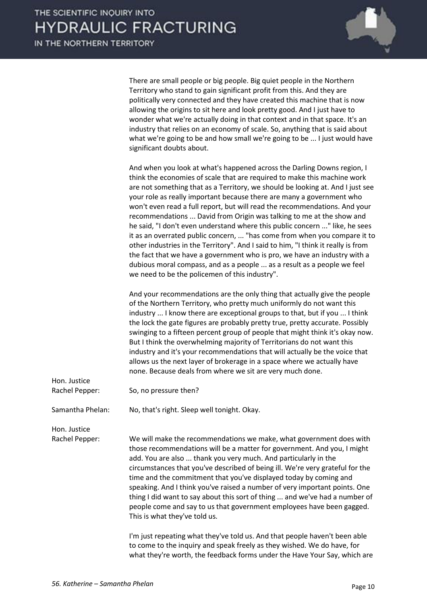

|                                | There are small people or big people. Big quiet people in the Northern<br>Territory who stand to gain significant profit from this. And they are<br>politically very connected and they have created this machine that is now<br>allowing the origins to sit here and look pretty good. And I just have to<br>wonder what we're actually doing in that context and in that space. It's an<br>industry that relies on an economy of scale. So, anything that is said about<br>what we're going to be and how small we're going to be  I just would have<br>significant doubts about.                                                                                                                                                                                                                                                                                                                                             |
|--------------------------------|---------------------------------------------------------------------------------------------------------------------------------------------------------------------------------------------------------------------------------------------------------------------------------------------------------------------------------------------------------------------------------------------------------------------------------------------------------------------------------------------------------------------------------------------------------------------------------------------------------------------------------------------------------------------------------------------------------------------------------------------------------------------------------------------------------------------------------------------------------------------------------------------------------------------------------|
|                                | And when you look at what's happened across the Darling Downs region, I<br>think the economies of scale that are required to make this machine work<br>are not something that as a Territory, we should be looking at. And I just see<br>your role as really important because there are many a government who<br>won't even read a full report, but will read the recommendations. And your<br>recommendations  David from Origin was talking to me at the show and<br>he said, "I don't even understand where this public concern " like, he sees<br>it as an overrated public concern,  "has come from when you compare it to<br>other industries in the Territory". And I said to him, "I think it really is from<br>the fact that we have a government who is pro, we have an industry with a<br>dubious moral compass, and as a people  as a result as a people we feel<br>we need to be the policemen of this industry". |
|                                | And your recommendations are the only thing that actually give the people<br>of the Northern Territory, who pretty much uniformly do not want this<br>industry  I know there are exceptional groups to that, but if you  I think<br>the lock the gate figures are probably pretty true, pretty accurate. Possibly<br>swinging to a fifteen percent group of people that might think it's okay now.<br>But I think the overwhelming majority of Territorians do not want this<br>industry and it's your recommendations that will actually be the voice that<br>allows us the next layer of brokerage in a space where we actually have<br>none. Because deals from where we sit are very much done.                                                                                                                                                                                                                             |
| Hon. Justice<br>Rachel Pepper: | So, no pressure then?                                                                                                                                                                                                                                                                                                                                                                                                                                                                                                                                                                                                                                                                                                                                                                                                                                                                                                           |
| Samantha Phelan:               | No, that's right. Sleep well tonight. Okay.                                                                                                                                                                                                                                                                                                                                                                                                                                                                                                                                                                                                                                                                                                                                                                                                                                                                                     |
| Hon. Justice<br>Rachel Pepper: | We will make the recommendations we make, what government does with<br>those recommendations will be a matter for government. And you, I might<br>add. You are also  thank you very much. And particularly in the<br>circumstances that you've described of being ill. We're very grateful for the<br>time and the commitment that you've displayed today by coming and<br>speaking. And I think you've raised a number of very important points. One<br>thing I did want to say about this sort of thing  and we've had a number of<br>people come and say to us that government employees have been gagged.<br>This is what they've told us.                                                                                                                                                                                                                                                                                  |
|                                | I'm just repeating what they've told us. And that people haven't been able<br>to come to the inquiry and speak freely as they wished. We do have, for                                                                                                                                                                                                                                                                                                                                                                                                                                                                                                                                                                                                                                                                                                                                                                           |

what they're worth, the feedback forms under the Have Your Say, which are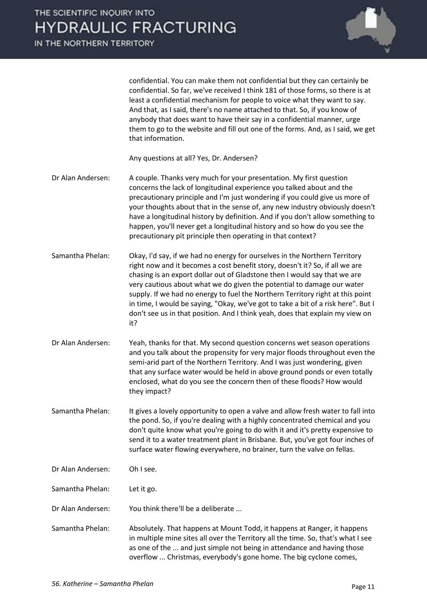IN THE NORTHERN TERRITORY



confidential. You can make them not confidential but they can certainly be confidential. So far, we've received I think 181 of those forms, so there is at least a confidential mechanism for people to voice what they want to say. And that, as I said, there's no name attached to that. So, if you know of anybody that does want to have their say in a confidential manner, urge them to go to the website and fill out one of the forms. And, as I said, we get that information.

Any questions at all? Yes, Dr. Andersen?

- Dr Alan Andersen: A couple. Thanks very much for your presentation. My first question concerns the lack of longitudinal experience you talked about and the precautionary principle and I'm just wondering if you could give us more of your thoughts about that in the sense of, any new industry obviously doesn't have a longitudinal history by definition. And if you don't allow something to happen, you'll never get a longitudinal history and so how do you see the precautionary pit principle then operating in that context?
- Samantha Phelan: Okay, I'd say, if we had no energy for ourselves in the Northern Territory right now and it becomes a cost benefit story, doesn't it? So, if all we are chasing is an export dollar out of Gladstone then I would say that we are very cautious about what we do given the potential to damage our water supply. If we had no energy to fuel the Northern Territory right at this point in time, I would be saying, "Okay, we've got to take a bit of a risk here". But I don't see us in that position. And I think yeah, does that explain my view on it?
- Dr Alan Andersen: Yeah, thanks for that. My second question concerns wet season operations and you talk about the propensity for very major floods throughout even the semi-arid part of the Northern Territory. And I was just wondering, given that any surface water would be held in above ground ponds or even totally enclosed, what do you see the concern then of these floods? How would they impact?

Samantha Phelan: It gives a lovely opportunity to open a valve and allow fresh water to fall into the pond. So, if you're dealing with a highly concentrated chemical and you don't quite know what you're going to do with it and it's pretty expensive to send it to a water treatment plant in Brisbane. But, you've got four inches of surface water flowing everywhere, no brainer, turn the valve on fellas.

Dr Alan Andersen: Oh I see.

Samantha Phelan: Let it go.

Dr Alan Andersen: You think there'll be a deliberate ...

Samantha Phelan: Absolutely. That happens at Mount Todd, it happens at Ranger, it happens in multiple mine sites all over the Territory all the time. So, that's what I see as one of the ... and just simple not being in attendance and having those overflow ... Christmas, everybody's gone home. The big cyclone comes,